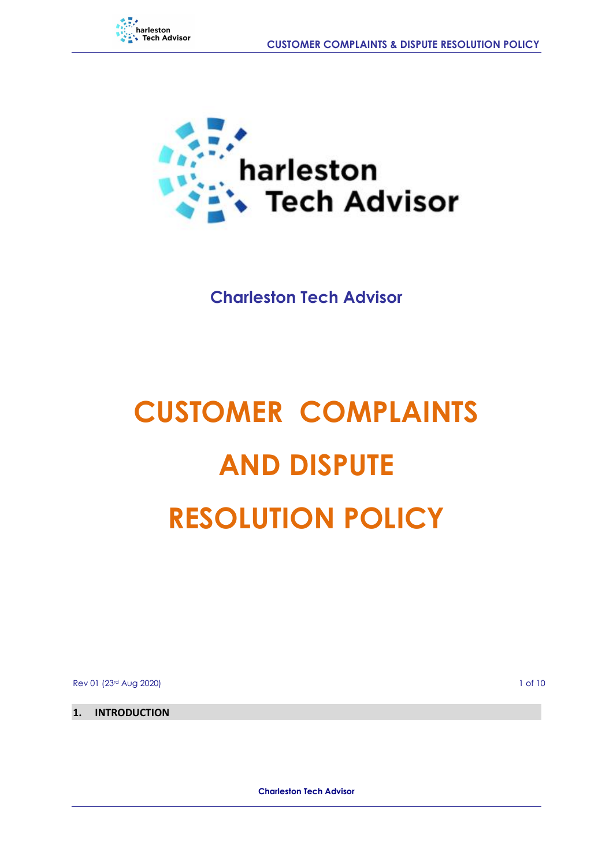



**Charleston Tech Advisor**

# **CUSTOMER COMPLAINTS AND DISPUTE RESOLUTION POLICY**

Rev 01 (23rd Aug 2020) 1 of 10

**1. INTRODUCTION** 

**Charleston Tech Advisor**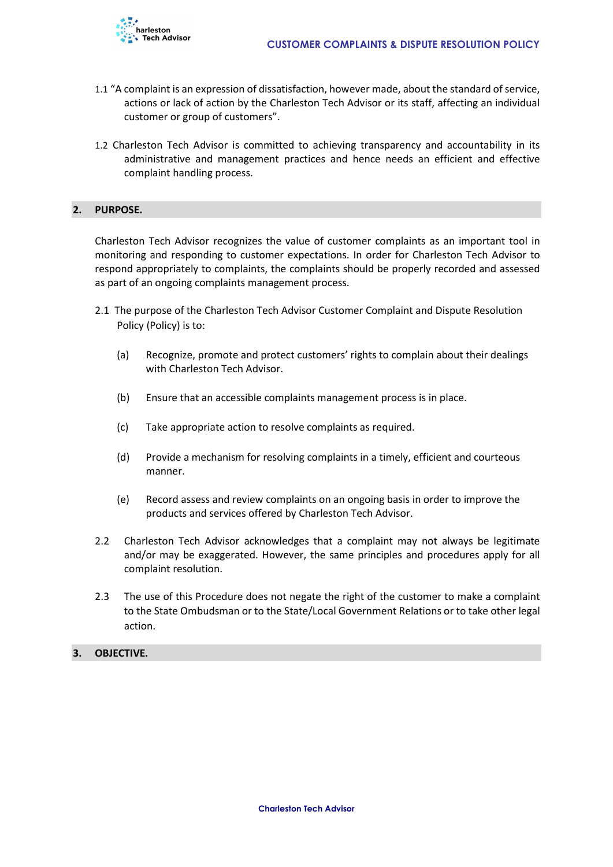

- 1.1 "A complaint is an expression of dissatisfaction, however made, about the standard of service, actions or lack of action by the Charleston Tech Advisor or its staff, affecting an individual customer or group of customers".
- 1.2 Charleston Tech Advisor is committed to achieving transparency and accountability in its administrative and management practices and hence needs an efficient and effective complaint handling process.

#### **2. PURPOSE.**

Charleston Tech Advisor recognizes the value of customer complaints as an important tool in monitoring and responding to customer expectations. In order for Charleston Tech Advisor to respond appropriately to complaints, the complaints should be properly recorded and assessed as part of an ongoing complaints management process.

- 2.1 The purpose of the Charleston Tech Advisor Customer Complaint and Dispute Resolution Policy (Policy) is to:
	- (a) Recognize, promote and protect customers' rights to complain about their dealings with Charleston Tech Advisor.
	- (b) Ensure that an accessible complaints management process is in place.
	- (c) Take appropriate action to resolve complaints as required.
	- (d) Provide a mechanism for resolving complaints in a timely, efficient and courteous manner.
	- (e) Record assess and review complaints on an ongoing basis in order to improve the products and services offered by Charleston Tech Advisor.
- 2.2 Charleston Tech Advisor acknowledges that a complaint may not always be legitimate and/or may be exaggerated. However, the same principles and procedures apply for all complaint resolution.
- 2.3 The use of this Procedure does not negate the right of the customer to make a complaint to the State Ombudsman or to the State/Local Government Relations or to take other legal action.

#### **3. OBJECTIVE.**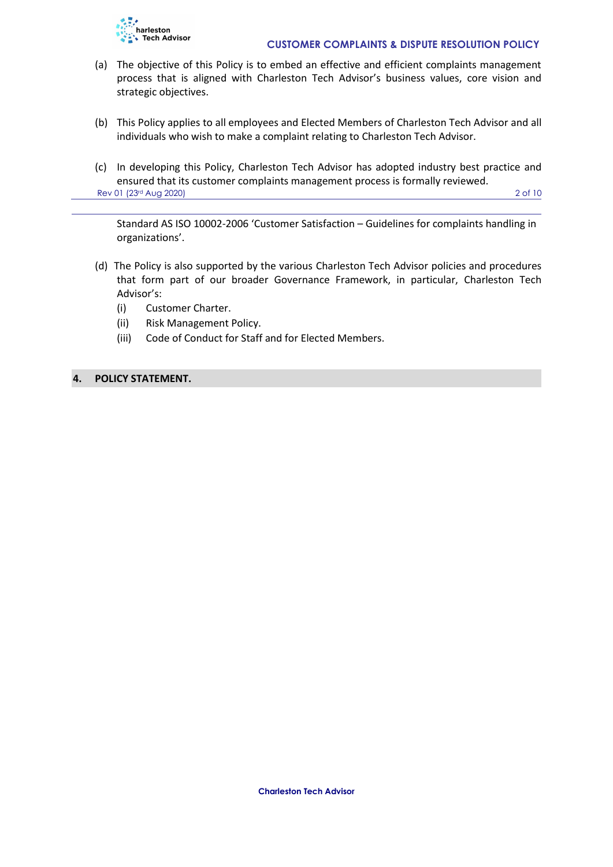

- (a) The objective of this Policy is to embed an effective and efficient complaints management process that is aligned with Charleston Tech Advisor's business values, core vision and strategic objectives.
- (b) This Policy applies to all employees and Elected Members of Charleston Tech Advisor and all individuals who wish to make a complaint relating to Charleston Tech Advisor.
- (c) In developing this Policy, Charleston Tech Advisor has adopted industry best practice and ensured that its customer complaints management process is formally reviewed. Rev 01 (23rd Aug 2020) 2 of 10

Standard AS ISO 10002-2006 'Customer Satisfaction – Guidelines for complaints handling in organizations'.

- (d) The Policy is also supported by the various Charleston Tech Advisor policies and procedures that form part of our broader Governance Framework, in particular, Charleston Tech Advisor's:
	- (i) Customer Charter.
	- (ii) Risk Management Policy.
	- (iii) Code of Conduct for Staff and for Elected Members.

#### **4. POLICY STATEMENT.**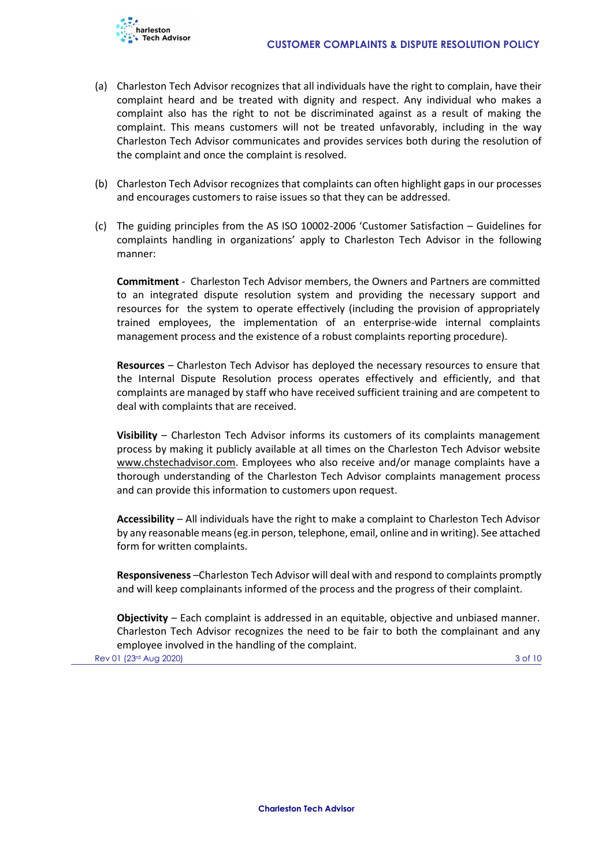

- (a) Charleston Tech Advisor recognizes that all individuals have the right to complain, have their complaint heard and be treated with dignity and respect. Any individual who makes a complaint also has the right to not be discriminated against as a result of making the complaint. This means customers will not be treated unfavorably, including in the way Charleston Tech Advisor communicates and provides services both during the resolution of the complaint and once the complaint is resolved.
- (b) Charleston Tech Advisor recognizes that complaints can often highlight gaps in our processes and encourages customers to raise issues so that they can be addressed.
- (c) The guiding principles from the AS ISO 10002-2006 'Customer Satisfaction Guidelines for complaints handling in organizations' apply to Charleston Tech Advisor in the following manner:

**Commitment** - Charleston Tech Advisor members, the Owners and Partners are committed to an integrated dispute resolution system and providing the necessary support and resources for the system to operate effectively (including the provision of appropriately trained employees, the implementation of an enterprise-wide internal complaints management process and the existence of a robust complaints reporting procedure).

**Resources** – Charleston Tech Advisor has deployed the necessary resources to ensure that the Internal Dispute Resolution process operates effectively and efficiently, and that complaints are managed by staff who have received sufficient training and are competent to deal with complaints that are received.

**Visibility** – Charleston Tech Advisor informs its customers of its complaints management process by making it publicly available at all times on the Charleston Tech Advisor website www.chstechadvisor.com. Employees who also receive and/or manage complaints have a thorough understanding of the Charleston Tech Advisor complaints management process and can provide this information to customers upon request.

**Accessibility** – All individuals have the right to make a complaint to Charleston Tech Advisor by any reasonable means (eg.in person, telephone, email, online and in writing). See attached form for written complaints.

**Responsiveness** –Charleston Tech Advisor will deal with and respond to complaints promptly and will keep complainants informed of the process and the progress of their complaint.

**Objectivity** – Each complaint is addressed in an equitable, objective and unbiased manner. Charleston Tech Advisor recognizes the need to be fair to both the complainant and any employee involved in the handling of the complaint.

Rev 01 (23rd Aug 2020) 3 of 10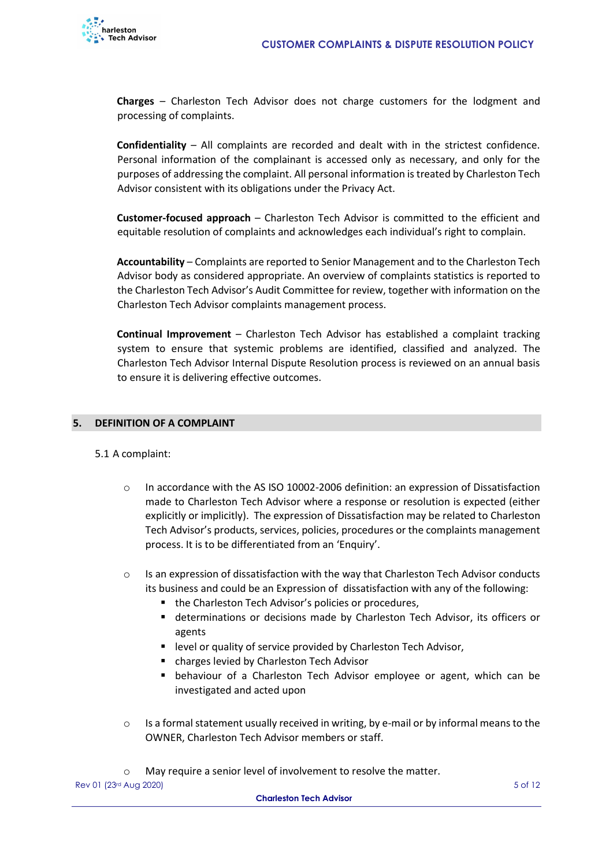

**Charges** – Charleston Tech Advisor does not charge customers for the lodgment and processing of complaints.

**Confidentiality** – All complaints are recorded and dealt with in the strictest confidence. Personal information of the complainant is accessed only as necessary, and only for the purposes of addressing the complaint. All personal information is treated by Charleston Tech Advisor consistent with its obligations under the Privacy Act.

**Customer-focused approach** – Charleston Tech Advisor is committed to the efficient and equitable resolution of complaints and acknowledges each individual's right to complain.

**Accountability** – Complaints are reported to Senior Management and to the Charleston Tech Advisor body as considered appropriate. An overview of complaints statistics is reported to the Charleston Tech Advisor's Audit Committee for review, together with information on the Charleston Tech Advisor complaints management process.

**Continual Improvement** – Charleston Tech Advisor has established a complaint tracking system to ensure that systemic problems are identified, classified and analyzed. The Charleston Tech Advisor Internal Dispute Resolution process is reviewed on an annual basis to ensure it is delivering effective outcomes.

#### **5. DEFINITION OF A COMPLAINT**

#### 5.1 A complaint:

- o In accordance with the AS ISO 10002-2006 definition: an expression of Dissatisfaction made to Charleston Tech Advisor where a response or resolution is expected (either explicitly or implicitly). The expression of Dissatisfaction may be related to Charleston Tech Advisor's products, services, policies, procedures or the complaints management process. It is to be differentiated from an 'Enquiry'.
- o Is an expression of dissatisfaction with the way that Charleston Tech Advisor conducts its business and could be an Expression of dissatisfaction with any of the following:
	- the Charleston Tech Advisor's policies or procedures,
	- determinations or decisions made by Charleston Tech Advisor, its officers or agents
	- level or quality of service provided by Charleston Tech Advisor,
	- charges levied by Charleston Tech Advisor
	- behaviour of a Charleston Tech Advisor employee or agent, which can be investigated and acted upon
- o Is a formal statement usually received in writing, by e-mail or by informal means to the OWNER, Charleston Tech Advisor members or staff.
- o May require a senior level of involvement to resolve the matter.

Rev 01 (23d Aug 2020) 5 of 12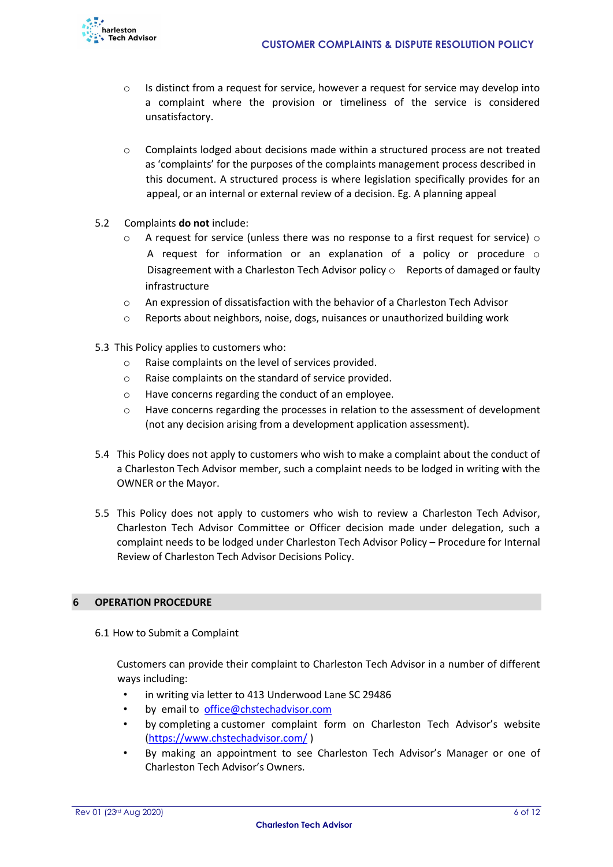

- $\circ$  Is distinct from a request for service, however a request for service may develop into a complaint where the provision or timeliness of the service is considered unsatisfactory.
- $\circ$  Complaints lodged about decisions made within a structured process are not treated as 'complaints' for the purposes of the complaints management process described in this document. A structured process is where legislation specifically provides for an appeal, or an internal or external review of a decision. Eg. A planning appeal
- 5.2 Complaints **do not** include:
	- $\circ$  A request for service (unless there was no response to a first request for service)  $\circ$ A request for information or an explanation of a policy or procedure o Disagreement with a Charleston Tech Advisor policy  $\circ$  Reports of damaged or faulty infrastructure
	- o An expression of dissatisfaction with the behavior of a Charleston Tech Advisor
	- o Reports about neighbors, noise, dogs, nuisances or unauthorized building work
- 5.3 This Policy applies to customers who:
	- o Raise complaints on the level of services provided.
	- o Raise complaints on the standard of service provided.
	- o Have concerns regarding the conduct of an employee.
	- o Have concerns regarding the processes in relation to the assessment of development (not any decision arising from a development application assessment).
- 5.4 This Policy does not apply to customers who wish to make a complaint about the conduct of a Charleston Tech Advisor member, such a complaint needs to be lodged in writing with the OWNER or the Mayor.
- 5.5 This Policy does not apply to customers who wish to review a Charleston Tech Advisor, Charleston Tech Advisor Committee or Officer decision made under delegation, such a complaint needs to be lodged under Charleston Tech Advisor Policy – Procedure for Internal Review of Charleston Tech Advisor Decisions Policy.

#### **6 OPERATION PROCEDURE**

6.1 How to Submit a Complaint

Customers can provide their complaint to Charleston Tech Advisor in a number of different ways including:

- in writing via letter to 413 Underwood Lane SC 29486
- by email to [office@chstechadvisor.com](mailto:office@chstechadvisor.com)
- by completing a customer complaint form on Charleston Tech Advisor's website [\(https://www.chstechadvisor.com/](https://www.chstechadvisor.com/) [\)](http://www.tatiara.sa.gov.au/)
- By making an appointment to see Charleston Tech Advisor's Manager or one of Charleston Tech Advisor's Owners.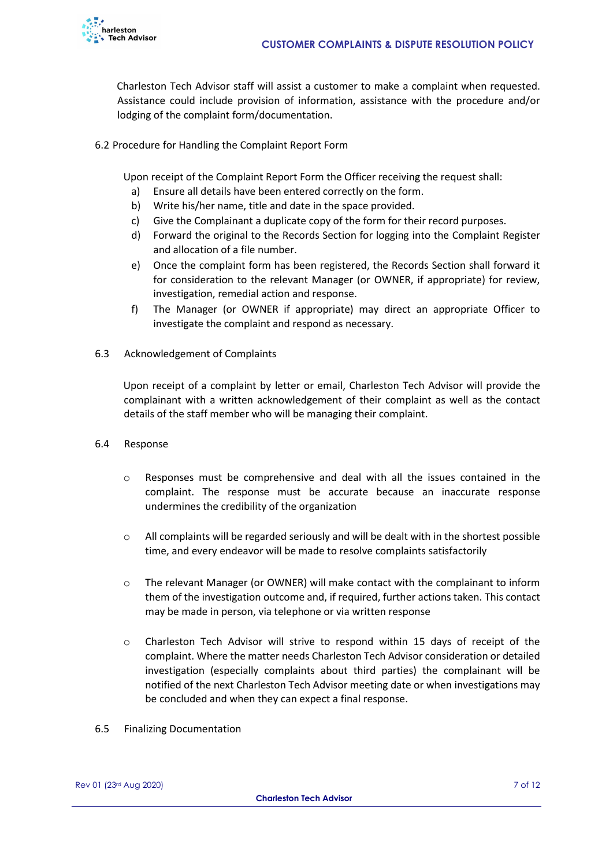

Charleston Tech Advisor staff will assist a customer to make a complaint when requested. Assistance could include provision of information, assistance with the procedure and/or lodging of the complaint form/documentation.

6.2 Procedure for Handling the Complaint Report Form

Upon receipt of the Complaint Report Form the Officer receiving the request shall:

- a) Ensure all details have been entered correctly on the form.
- b) Write his/her name, title and date in the space provided.
- c) Give the Complainant a duplicate copy of the form for their record purposes.
- d) Forward the original to the Records Section for logging into the Complaint Register and allocation of a file number.
- e) Once the complaint form has been registered, the Records Section shall forward it for consideration to the relevant Manager (or OWNER, if appropriate) for review, investigation, remedial action and response.
- f) The Manager (or OWNER if appropriate) may direct an appropriate Officer to investigate the complaint and respond as necessary.
- 6.3 Acknowledgement of Complaints

Upon receipt of a complaint by letter or email, Charleston Tech Advisor will provide the complainant with a written acknowledgement of their complaint as well as the contact details of the staff member who will be managing their complaint.

- 6.4 Response
	- o Responses must be comprehensive and deal with all the issues contained in the complaint. The response must be accurate because an inaccurate response undermines the credibility of the organization
	- $\circ$  All complaints will be regarded seriously and will be dealt with in the shortest possible time, and every endeavor will be made to resolve complaints satisfactorily
	- $\circ$  The relevant Manager (or OWNER) will make contact with the complainant to inform them of the investigation outcome and, if required, further actions taken. This contact may be made in person, via telephone or via written response
	- o Charleston Tech Advisor will strive to respond within 15 days of receipt of the complaint. Where the matter needs Charleston Tech Advisor consideration or detailed investigation (especially complaints about third parties) the complainant will be notified of the next Charleston Tech Advisor meeting date or when investigations may be concluded and when they can expect a final response.
- 6.5 Finalizing Documentation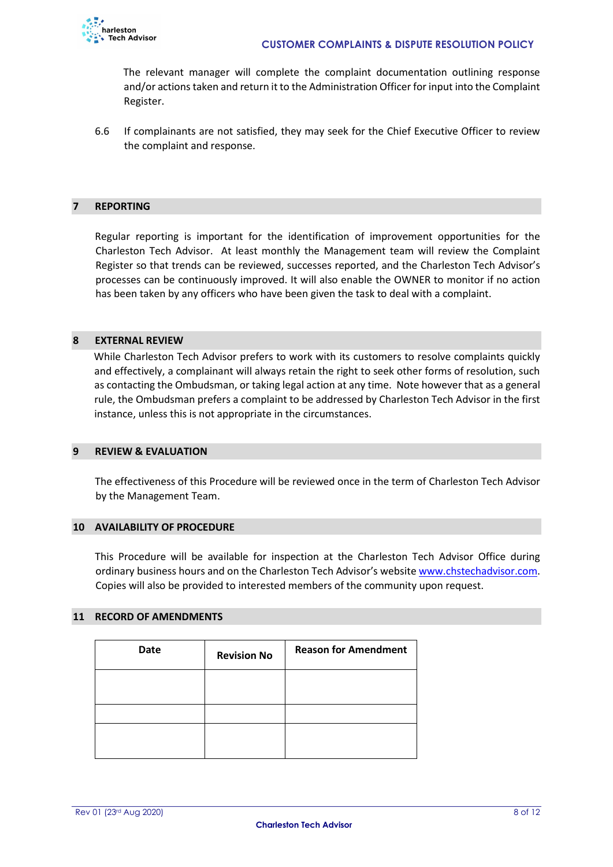

The relevant manager will complete the complaint documentation outlining response and/or actions taken and return it to the Administration Officer for input into the Complaint Register.

6.6 If complainants are not satisfied, they may seek for the Chief Executive Officer to review the complaint and response.

#### **7 REPORTING**

Regular reporting is important for the identification of improvement opportunities for the Charleston Tech Advisor. At least monthly the Management team will review the Complaint Register so that trends can be reviewed, successes reported, and the Charleston Tech Advisor's processes can be continuously improved. It will also enable the OWNER to monitor if no action has been taken by any officers who have been given the task to deal with a complaint.

#### **8 EXTERNAL REVIEW**

While Charleston Tech Advisor prefers to work with its customers to resolve complaints quickly and effectively, a complainant will always retain the right to seek other forms of resolution, such as contacting the Ombudsman, or taking legal action at any time. Note however that as a general rule, the Ombudsman prefers a complaint to be addressed by Charleston Tech Advisor in the first instance, unless this is not appropriate in the circumstances.

#### **9 REVIEW & EVALUATION**

The effectiveness of this Procedure will be reviewed once in the term of Charleston Tech Advisor by the Management Team.

#### **10 AVAILABILITY OF PROCEDURE**

This Procedure will be available for inspection at the Charleston Tech Advisor Office during ordinary business hours and on the Charleston Tech Advisor's website www.chstechadvisor.co[m.](http://www.tatiara.sa.gov.au/) Copies will also be provided to interested members of the community upon request.

#### **11 RECORD OF AMENDMENTS**

| <b>Date</b> | <b>Revision No</b> | <b>Reason for Amendment</b> |
|-------------|--------------------|-----------------------------|
|             |                    |                             |
|             |                    |                             |
|             |                    |                             |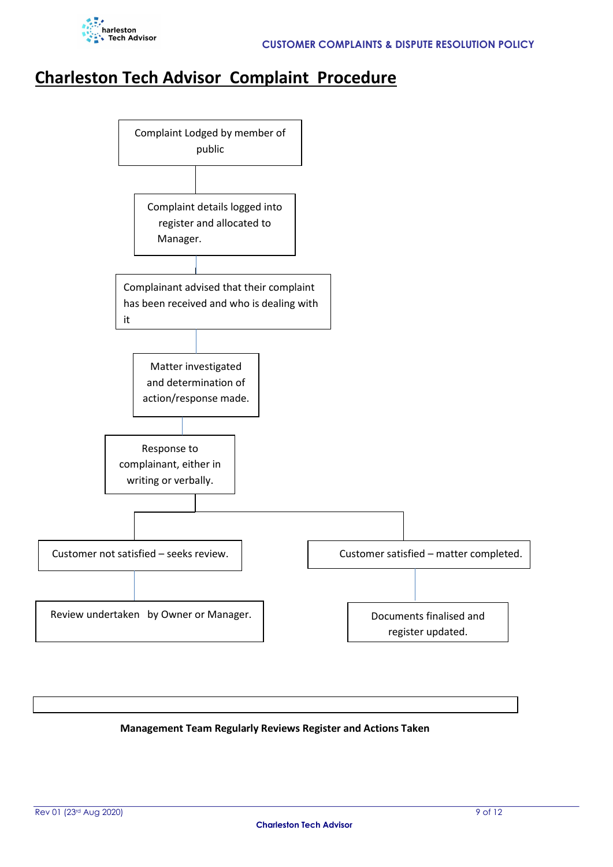

### **Charleston Tech Advisor Complaint Procedure**



#### **Management Team Regularly Reviews Register and Actions Taken**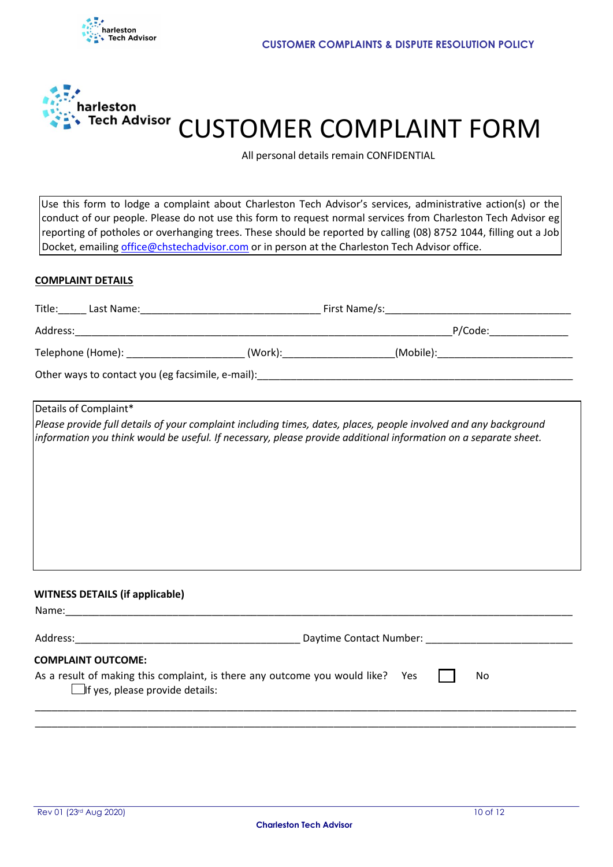



## Tech Advisor CUSTOMER COMPLAINT FORM

All personal details remain CONFIDENTIAL

Use this form to lodge a complaint about Charleston Tech Advisor's services, administrative action(s) or the conduct of our people. Please do not use this form to request normal services from Charleston Tech Advisor eg reporting of potholes or overhanging trees. These should be reported by calling (08) 8752 1044, filling out a Job Docket, emailing office@chstechadvisor.com or in person at the Charleston Tech Advisor office.

#### **COMPLAINT DETAILS**

|                                        |                                                                                | Telephone (Home): __________________________(Work):_____________________(Mobile):____________________________                                                                                                                       |
|----------------------------------------|--------------------------------------------------------------------------------|-------------------------------------------------------------------------------------------------------------------------------------------------------------------------------------------------------------------------------------|
|                                        |                                                                                |                                                                                                                                                                                                                                     |
| Details of Complaint*                  |                                                                                |                                                                                                                                                                                                                                     |
|                                        |                                                                                | Please provide full details of your complaint including times, dates, places, people involved and any background<br>information you think would be useful. If necessary, please provide additional information on a separate sheet. |
| <b>WITNESS DETAILS (if applicable)</b> |                                                                                |                                                                                                                                                                                                                                     |
|                                        |                                                                                |                                                                                                                                                                                                                                     |
| <b>COMPLAINT OUTCOME:</b>              |                                                                                |                                                                                                                                                                                                                                     |
| $\Box$ if yes, please provide details: | As a result of making this complaint, is there any outcome you would like? Yes | No                                                                                                                                                                                                                                  |
|                                        |                                                                                |                                                                                                                                                                                                                                     |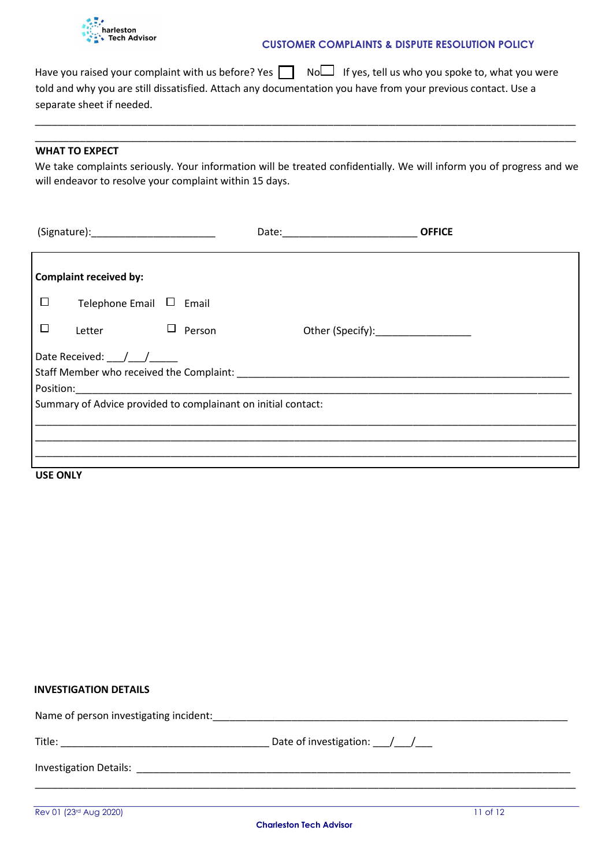

#### **CUSTOMER COMPLAINTS & DISPUTE RESOLUTION POLICY**

Have you raised your complaint with us before? Yes  $\Box$  No If yes, tell us who you spoke to, what you were told and why you are still dissatisfied. Attach any documentation you have from your previous contact. Use a separate sheet if needed.

#### **WHAT TO EXPECT**

We take complaints seriously. Your information will be treated confidentially. We will inform you of progress and we will endeavor to resolve your complaint within 15 days.

\_\_\_\_\_\_\_\_\_\_\_\_\_\_\_\_\_\_\_\_\_\_\_\_\_\_\_\_\_\_\_\_\_\_\_\_\_\_\_\_\_\_\_\_\_\_\_\_\_\_\_\_\_\_\_\_\_\_\_\_\_\_\_\_\_\_\_\_\_\_\_\_\_\_\_\_\_\_\_\_\_\_\_\_\_\_\_\_\_\_\_\_\_\_\_\_ \_\_\_\_\_\_\_\_\_\_\_\_\_\_\_\_\_\_\_\_\_\_\_\_\_\_\_\_\_\_\_\_\_\_\_\_\_\_\_\_\_\_\_\_\_\_\_\_\_\_\_\_\_\_\_\_\_\_\_\_\_\_\_\_\_\_\_\_\_\_\_\_\_\_\_\_\_\_\_\_\_\_\_\_\_\_\_\_\_\_\_\_\_\_\_\_

|                 |                                                 |                                                               | <b>OFFICE</b> |
|-----------------|-------------------------------------------------|---------------------------------------------------------------|---------------|
|                 | <b>Complaint received by:</b>                   |                                                               |               |
| $\Box$          | Telephone Email $\Box$ Email                    |                                                               |               |
| □               | Letter                                          | $\Box$<br>Person                                              |               |
|                 | Date Received: $\frac{1}{\sqrt{1-\frac{1}{2}}}$ |                                                               |               |
|                 |                                                 | Summary of Advice provided to complainant on initial contact: |               |
|                 |                                                 |                                                               |               |
| <b>USE ONLY</b> |                                                 |                                                               |               |

#### **INVESTIGATION DETAILS**

| Name of person investigating incident: |                                                         |
|----------------------------------------|---------------------------------------------------------|
| Title:                                 | Date of investigation: $\frac{1}{\sqrt{1-\frac{1}{2}}}$ |
| <b>Investigation Details:</b>          |                                                         |